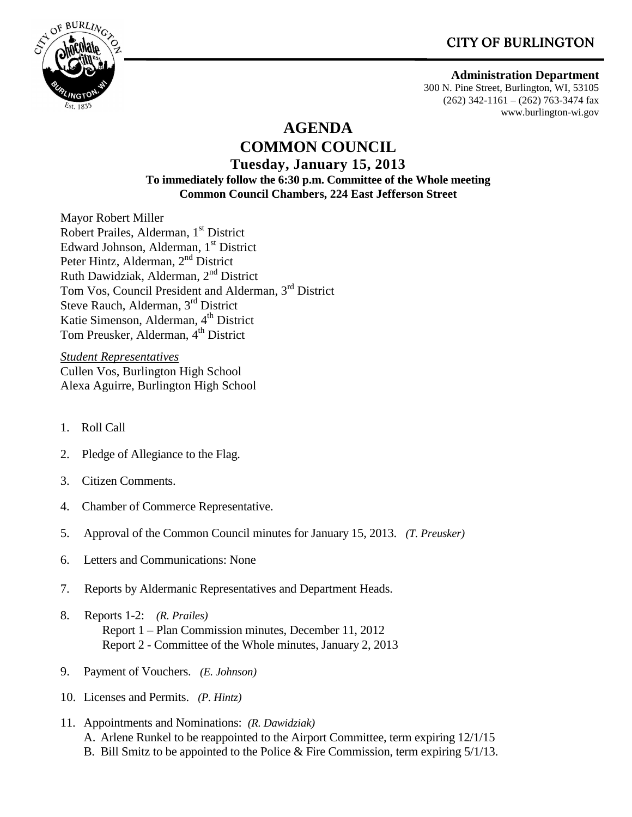# CITY OF BURLINGTON



### **Administration Department**

300 N. Pine Street, Burlington, WI, 53105  $(262)$  342-1161 –  $(262)$  763-3474 fax www.burlington-wi.gov

## **AGENDA COMMON COUNCIL Tuesday, January 15, 2013 To immediately follow the 6:30 p.m. Committee of the Whole meeting Common Council Chambers, 224 East Jefferson Street**

Mayor Robert Miller Robert Prailes, Alderman, 1<sup>st</sup> District Edward Johnson, Alderman, 1<sup>st</sup> District Peter Hintz, Alderman, 2<sup>nd</sup> District Ruth Dawidziak, Alderman, 2nd District Tom Vos, Council President and Alderman, 3<sup>rd</sup> District Steve Rauch, Alderman, 3rd District Katie Simenson, Alderman, 4<sup>th</sup> District Tom Preusker, Alderman, 4<sup>th</sup> District

*Student Representatives* Cullen Vos, Burlington High School Alexa Aguirre, Burlington High School

- 1. Roll Call
- 2. Pledge of Allegiance to the Flag.
- 3. Citizen Comments.
- 4. Chamber of Commerce Representative.
- 5. Approval of the Common Council minutes for January 15, 2013. *(T. Preusker)*
- 6. Letters and Communications: None
- 7. Reports by Aldermanic Representatives and Department Heads.
- 8. Reports 1-2: *(R. Prailes)*  Report 1 – Plan Commission minutes, December 11, 2012 Report 2 - Committee of the Whole minutes, January 2, 2013
- 9. Payment of Vouchers. *(E. Johnson)*
- 10. Licenses and Permits. *(P. Hintz)*
- 11. Appointments and Nominations: *(R. Dawidziak)* A. Arlene Runkel to be reappointed to the Airport Committee, term expiring 12/1/15 B. Bill Smitz to be appointed to the Police & Fire Commission, term expiring 5/1/13.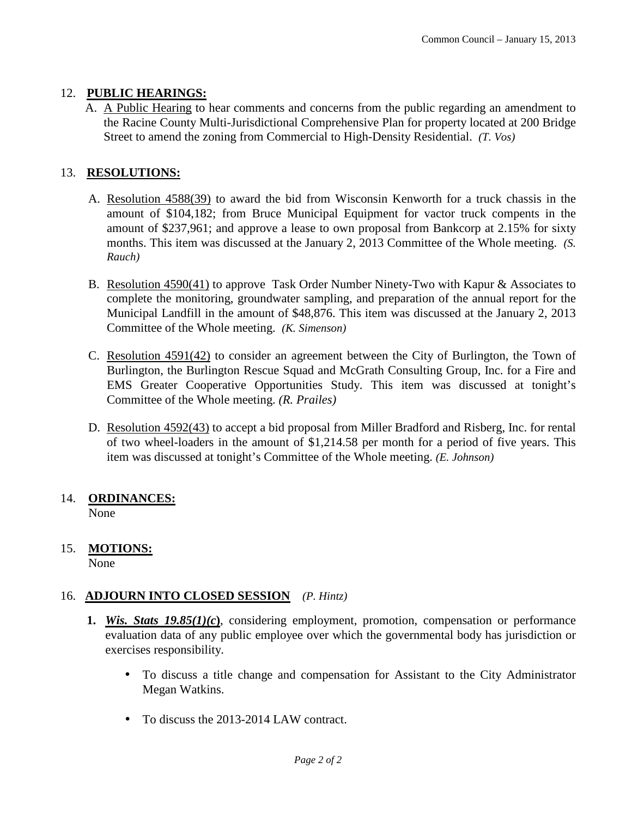## 12. **PUBLIC HEARINGS:**

A. A Public Hearing to hear comments and concerns from the public regarding an amendment to the Racine County Multi-Jurisdictional Comprehensive Plan for property located at 200 Bridge Street to amend the zoning from Commercial to High-Density Residential. *(T. Vos)*

## 13. **RESOLUTIONS:**

- A. Resolution 4588(39) to award the bid from Wisconsin Kenworth for a truck chassis in the amount of \$104,182; from Bruce Municipal Equipment for vactor truck compents in the amount of \$237,961; and approve a lease to own proposal from Bankcorp at 2.15% for sixty months. This item was discussed at the January 2, 2013 Committee of the Whole meeting. *(S. Rauch)*
- B. Resolution 4590(41) to approve Task Order Number Ninety-Two with Kapur & Associates to complete the monitoring, groundwater sampling, and preparation of the annual report for the Municipal Landfill in the amount of \$48,876. This item was discussed at the January 2, 2013 Committee of the Whole meeting. *(K. Simenson)*
- C. Resolution 4591(42) to consider an agreement between the City of Burlington, the Town of Burlington, the Burlington Rescue Squad and McGrath Consulting Group, Inc. for a Fire and EMS Greater Cooperative Opportunities Study. This item was discussed at tonight's Committee of the Whole meeting. *(R. Prailes)*
- D. Resolution 4592(43) to accept a bid proposal from Miller Bradford and Risberg, Inc. for rental of two wheel-loaders in the amount of \$1,214.58 per month for a period of five years. This item was discussed at tonight's Committee of the Whole meeting. *(E. Johnson)*

#### 14. **ORDINANCES:** None

### 15. **MOTIONS:** None

## 16. **ADJOURN INTO CLOSED SESSION** *(P. Hintz)*

- **1.** *Wis. Stats 19.85(1)(c***)**, considering employment, promotion, compensation or performance evaluation data of any public employee over which the governmental body has jurisdiction or exercises responsibility.
	- To discuss a title change and compensation for Assistant to the City Administrator Megan Watkins.
	- To discuss the 2013-2014 LAW contract.